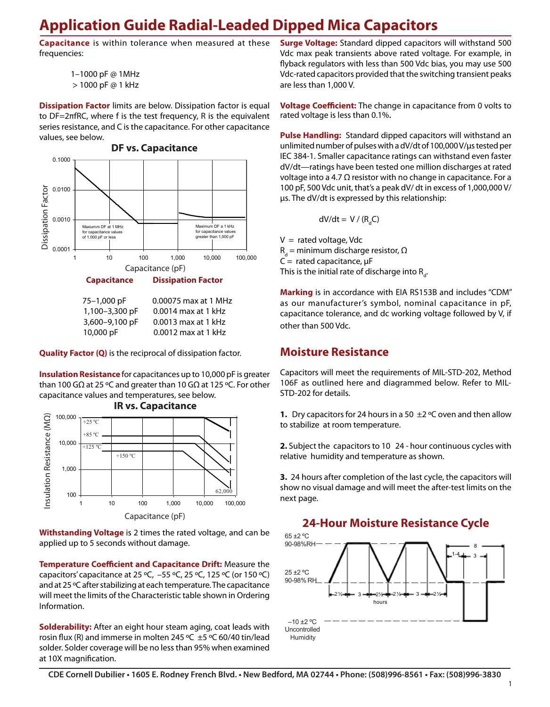# **Application Guide Radial-Leaded Dipped Mica Capacitors**

**Capacitance** is within tolerance when measured at these frequencies:

```
1–1000 pF @ 1MHz
```
> 1000 pF @ 1 kHz

**Dissipation Factor** limits are below. Dissipation factor is equal to DF=2πfRC, where f is the test frequency, R is the equivalent series resistance, and C is the capacitance. For other capacitance values, see below.



**Quality Factor (Q)** is the reciprocal of dissipation factor.

**Insulation Resistance** for capacitances up to 10,000 pF is greater than 100 GΩ at 25 ºC and greater than 10 GΩ at 125 ºC. For other capacitance values and temperatures, see below.



**Withstanding Voltage** is 2 times the rated voltage, and can be applied up to 5 seconds without damage.

> **Temperature Coefficient and Capacitance Drift:** Measure the capacitors' capacitance at 25 ºC, –55 ºC, 25 ºC, 125 ºC (or 150 ºC) and at 25 ºC after stabilizing at each temperature. The capacitance will meet the limits of the Characteristic table shown in Ordering Information.

> **Solderability:** After an eight hour steam aging, coat leads with rosin flux (R) and immerse in molten 245 °C  $\pm$ 5 °C 60/40 tin/lead solder. Solder coverage will be no less than 95% when examined at 10X magnification.

**Surge Voltage:** Standard dipped capacitors will withstand 500 Vdc max peak transients above rated voltage. For example, in flyback regulators with less than 500 Vdc bias, you may use 500 Vdc-rated capacitors provided that the switching transient peaks are less than 1,000 V.

**Voltage Coefficient:** The change in capacitance from 0 volts to rated voltage is less than 0.1%.

µs. The dV/dt is expressed by this relationship: dV/dt-ratings have been tested one million discharges at rated +85 ºC 100 pF, 500 Vdc unit, that's a peak dV/ dt in excess of 1,000,000 V/ voltage into a 4.7  $Ω$  resistor with no change in capacitance. For a **Pulse Handling:** Standard dipped capacitors will withstand an unlimited number of pulses with a dV/dt of 100,000 V/µs tested per IEC 384-1. Smaller capacitance ratings can withstand even faster

$$
dV/dt = V / (R_dC)
$$

 $R_d$  = minimum discharge resistor, Ω 1 10 100 1,000 10,000 100,000 C = rated capacitance, µF This is the initial rate of discharge into R<sub>d</sub>.  $V =$  rated voltage, Vdc

as our manufacturer's symbol, nominal capacitance in pF, capacitance tolerance, and dc working voltage followed by V, if other than 500 Vdc.

#### **Moisture Resistance**

Capacitors will meet the requirements of MIL-STD-202, Method 106F as outlined here and diagrammed below. Refer to MIL-STD-202 for details.

**1.** Dry capacitors for 24 hours in a 50 ±2 ºC oven and then allow to stabilize at room temperature.

**2.** Subject the capacitors to 10 24 - hour continuous cycles with relative humidity and temperature as shown.

**3.** 24 hours after completion of the last cycle, the capacitors will show no visual damage and will meet the after-test limits on the next page.



#### **24-Hour Moisture Resistance Cycle**